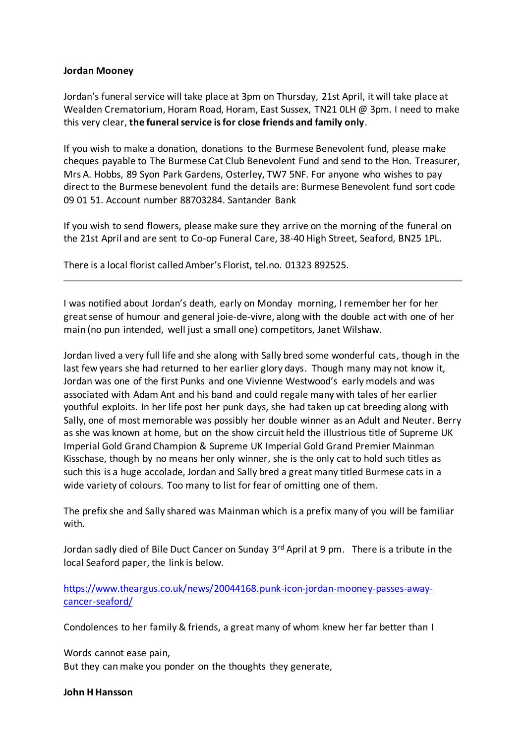## **Jordan Mooney**

Jordan's funeral service will take place at 3pm on Thursday, 21st April, it will take place at Wealden Crematorium, Horam Road, Horam, East Sussex, TN21 OLH @ 3pm. I need to make this very clear, **the funeral service is for close friends and family only**.

If you wish to make a donation, donations to the Burmese Benevolent fund, please make cheques payable to The Burmese Cat Club Benevolent Fund and send to the Hon. Treasurer, Mrs A. Hobbs, 89 Syon Park Gardens, Osterley, TW7 5NF. For anyone who wishes to pay direct to the Burmese benevolent fund the details are: Burmese Benevolent fund sort code 09 01 51. Account number 88703284. Santander Bank

If you wish to send flowers, please make sure they arrive on the morning of the funeral on the 21st April and are sent to Co-op Funeral Care, 38-40 High Street, Seaford, BN25 1PL.

There is a local florist called Amber's Florist, tel.no. 01323 892525.

I was notified about Jordan's death, early on Monday morning, I remember her for her great sense of humour and general joie-de-vivre, along with the double act with one of her main (no pun intended, well just a small one) competitors, Janet Wilshaw.

Jordan lived a very full life and she along with Sally bred some wonderful cats, though in the last few years she had returned to her earlier glory days. Though many may not know it, Jordan was one of the first Punks and one Vivienne Westwood's early models and was associated with Adam Ant and his band and could regale many with tales of her earlier youthful exploits. In her life post her punk days, she had taken up cat breeding along with Sally, one of most memorable was possibly her double winner as an Adult and Neuter. Berry as she was known at home, but on the show circuit held the illustrious title of Supreme UK Imperial Gold Grand Champion & Supreme UK Imperial Gold Grand Premier Mainman Kisschase, though by no means her only winner, she is the only cat to hold such titles as such this is a huge accolade, Jordan and Sally bred a great many titled Burmese cats in a wide variety of colours. Too many to list for fear of omitting one of them.

The prefix she and Sally shared was Mainman which is a prefix many of you will be familiar with.

Jordan sadly died of Bile Duct Cancer on Sunday 3<sup>rd</sup> April at 9 pm. There is a tribute in the local Seaford paper, the link is below.

https://www.theargus.co.uk/news/20044168.punk-icon-jordan-mooney-passes-awaycancer-seaford/

Condolences to her family & friends, a great many of whom knew her far better than I

Words cannot ease pain, But they can make you ponder on the thoughts they generate,

**John H Hansson**